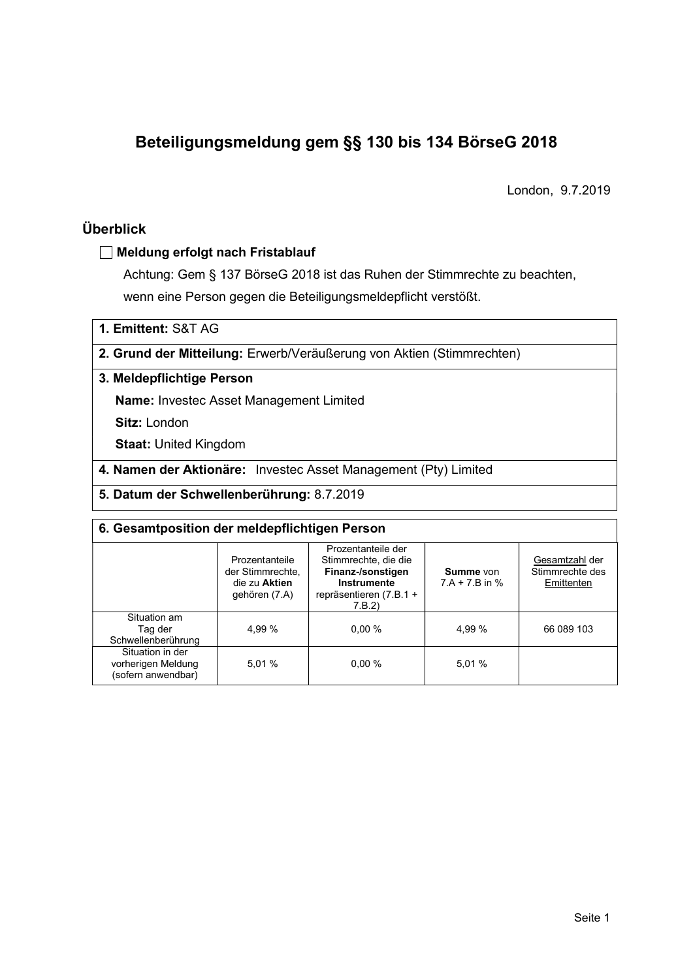# Beteiligungsmeldung gem §§ 130 bis 134 BörseG 2018

London, 9.7.2019

# Überblick

### Meldung erfolgt nach Fristablauf

Achtung: Gem § 137 BörseG 2018 ist das Ruhen der Stimmrechte zu beachten, wenn eine Person gegen die Beteiligungsmeldepflicht verstößt.

1. Emittent: S&T AG

### 2. Grund der Mitteilung: Erwerb/Veräußerung von Aktien (Stimmrechten)

### 3. Meldepflichtige Person

Name: Investec Asset Management Limited

Sitz: London

Staat: United Kingdom

- 4. Namen der Aktionäre: Investec Asset Management (Pty) Limited
- 5. Datum der Schwellenberührung: 8.7.2019

| 6. Gesamtposition der meldepflichtigen Person                |                                                                      |                                                                                                                      |                               |                                                 |  |  |  |
|--------------------------------------------------------------|----------------------------------------------------------------------|----------------------------------------------------------------------------------------------------------------------|-------------------------------|-------------------------------------------------|--|--|--|
|                                                              | Prozentanteile<br>der Stimmrechte.<br>die zu Aktien<br>gehören (7.A) | Prozentanteile der<br>Stimmrechte, die die<br>Finanz-/sonstigen<br>Instrumente<br>repräsentieren $(7.B.1 +$<br>7.B.2 | Summe von<br>$7.A + 7.B$ in % | Gesamtzahl der<br>Stimmrechte des<br>Emittenten |  |  |  |
| Situation am<br>Tag der<br>Schwellenberührung                | 4.99 %                                                               | 0.00%                                                                                                                | 4.99 %                        | 66 089 103                                      |  |  |  |
| Situation in der<br>vorherigen Meldung<br>(sofern anwendbar) | 5.01%                                                                | 0.00%                                                                                                                | 5.01 %                        |                                                 |  |  |  |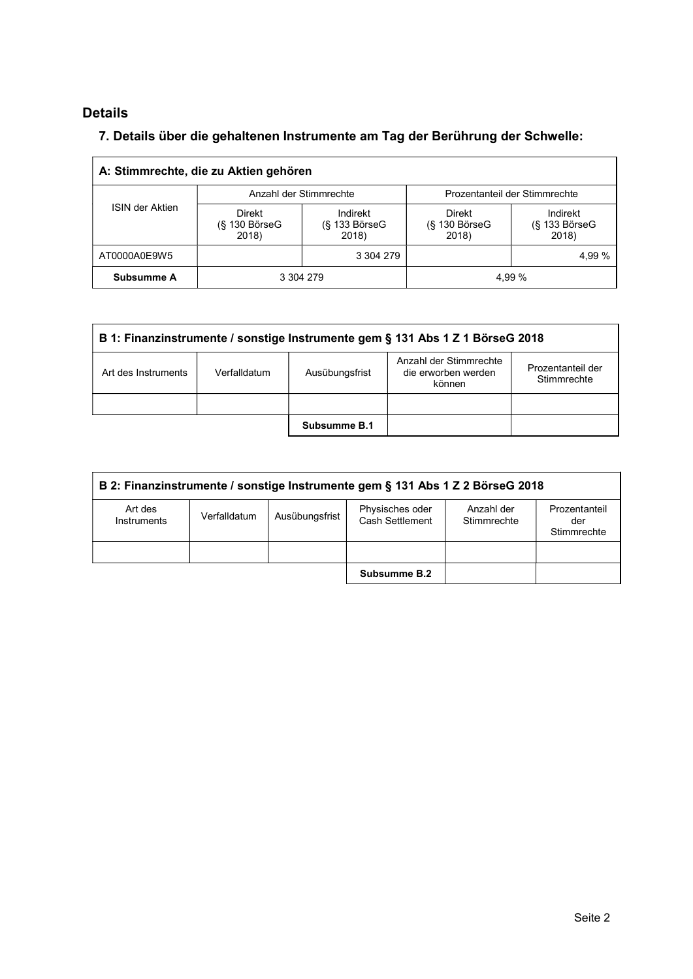# Details

# 7. Details über die gehaltenen Instrumente am Tag der Berührung der Schwelle:

|                 | A: Stimmrechte, die zu Aktien gehören   |                                         |                                         |                                    |
|-----------------|-----------------------------------------|-----------------------------------------|-----------------------------------------|------------------------------------|
|                 | Anzahl der Stimmrechte                  |                                         | Prozentanteil der Stimmrechte           |                                    |
| ISIN der Aktien | <b>Direkt</b><br>(§ 130 BörseG<br>2018) | Indirekt<br>$(S$ 133 Börse $G$<br>2018) | <b>Direkt</b><br>(§ 130 BörseG<br>2018) | Indirekt<br>(§ 133 BörseG<br>2018) |
| AT0000A0E9W5    |                                         | 3 304 279                               |                                         | 4,99 %                             |
| Subsumme A      | 3 304 279                               |                                         | 4,99 %                                  |                                    |

| B 1: Finanzinstrumente / sonstige Instrumente gem § 131 Abs 1 Z 1 BörseG 2018 |              |                |                                                         |                                  |  |  |
|-------------------------------------------------------------------------------|--------------|----------------|---------------------------------------------------------|----------------------------------|--|--|
| Art des Instruments                                                           | Verfalldatum | Ausübungsfrist | Anzahl der Stimmrechte<br>die erworben werden<br>können | Prozentanteil der<br>Stimmrechte |  |  |
|                                                                               |              |                |                                                         |                                  |  |  |
|                                                                               |              | Subsumme B.1   |                                                         |                                  |  |  |

|                        | B 2: Finanzinstrumente / sonstige Instrumente gem § 131 Abs 1 Z 2 BörseG 2018 |                |                                    |                           |                                     |  |  |
|------------------------|-------------------------------------------------------------------------------|----------------|------------------------------------|---------------------------|-------------------------------------|--|--|
| Art des<br>Instruments | Verfalldatum                                                                  | Ausübungsfrist | Physisches oder<br>Cash Settlement | Anzahl der<br>Stimmrechte | Prozentanteil<br>der<br>Stimmrechte |  |  |
|                        |                                                                               |                |                                    |                           |                                     |  |  |
|                        |                                                                               |                | Subsumme B.2                       |                           |                                     |  |  |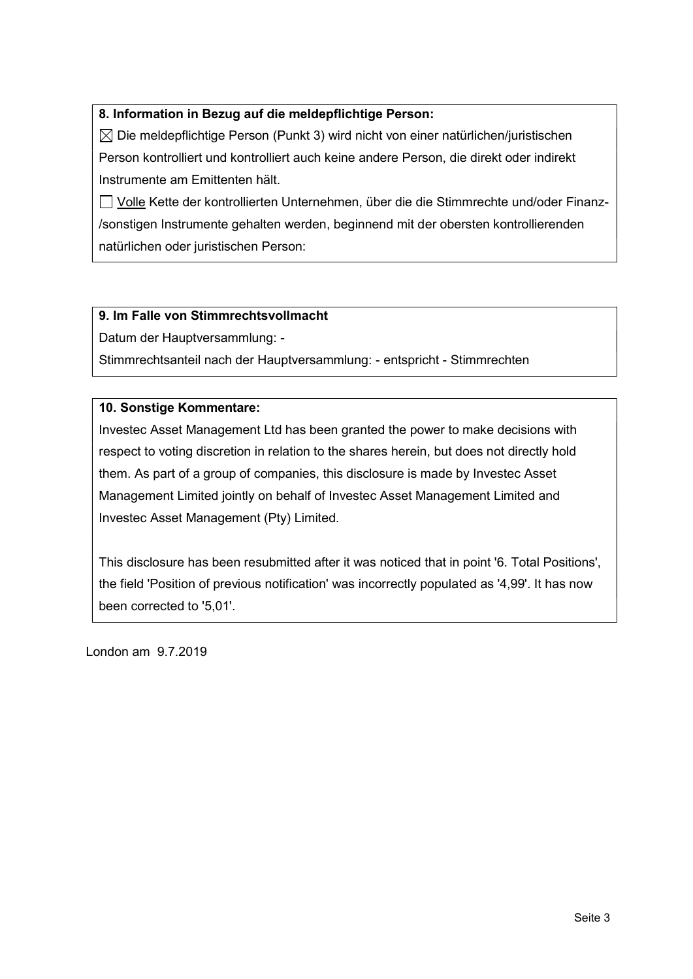### 8. Information in Bezug auf die meldepflichtige Person:

 $\boxtimes$  Die meldepflichtige Person (Punkt 3) wird nicht von einer natürlichen/juristischen Person kontrolliert und kontrolliert auch keine andere Person, die direkt oder indirekt Instrumente am Emittenten hält.

 Volle Kette der kontrollierten Unternehmen, über die die Stimmrechte und/oder Finanz- /sonstigen Instrumente gehalten werden, beginnend mit der obersten kontrollierenden natürlichen oder juristischen Person:

### 9. Im Falle von Stimmrechtsvollmacht

Datum der Hauptversammlung: -

Stimmrechtsanteil nach der Hauptversammlung: - entspricht - Stimmrechten

### 10. Sonstige Kommentare:

Investec Asset Management Ltd has been granted the power to make decisions with respect to voting discretion in relation to the shares herein, but does not directly hold them. As part of a group of companies, this disclosure is made by Investec Asset Management Limited jointly on behalf of Investec Asset Management Limited and Investec Asset Management (Pty) Limited.

This disclosure has been resubmitted after it was noticed that in point '6. Total Positions', the field 'Position of previous notification' was incorrectly populated as '4,99'. It has now been corrected to '5,01'.

London am 9.7.2019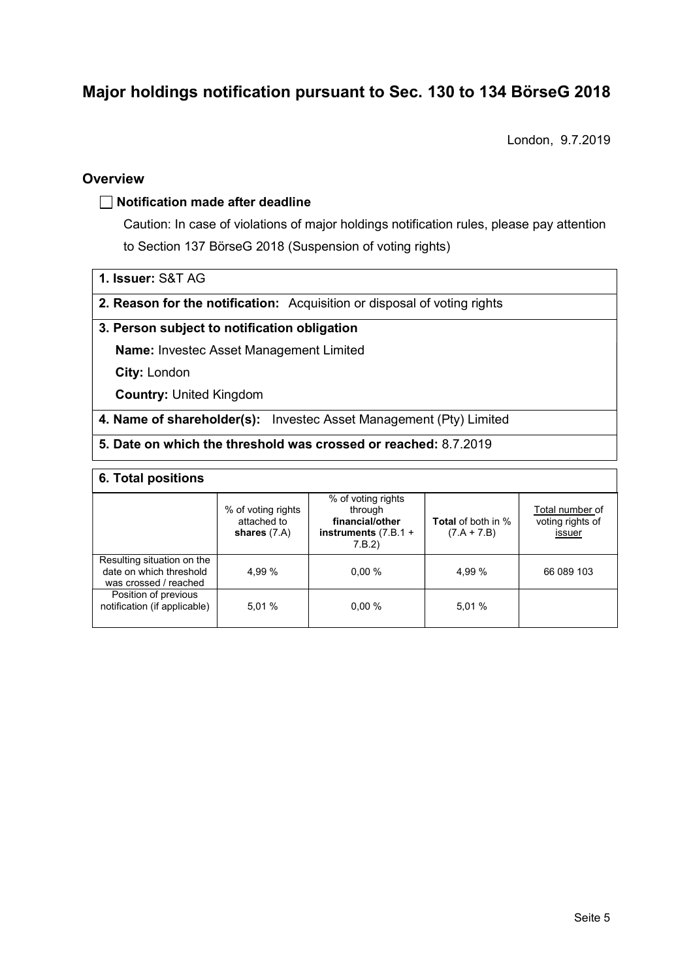# Major holdings notification pursuant to Sec. 130 to 134 BörseG <sup>2018</sup>

London, 9.7.2019

### **Overview**

### $\Box$  Notification made after deadline

Caution: In case of violations of major holdings notification rules, please pay attention to Section 137 BörseG 2018 (Suspension of voting rights)

1. Issuer: S&T AG

2. Reason for the notification: Acquisition or disposal of voting rights

### 3. Person subject to notification obligation

Name: Investec Asset Management Limited

City: London

Country: United Kingdom

4. Name of shareholder(s): Investec Asset Management (Pty) Limited

### 5. Date on which the threshold was crossed or reached: 8.7.2019

### 6. Total positions

|                                                                                | % of voting rights<br>attached to<br>shares $(7.A)$ | % of voting rights<br>through<br>financial/other<br>instruments $(7.B.1 +$<br>7.B.2) | <b>Total</b> of both in %<br>$(7.A + 7.B)$ | Total number of<br>voting rights of<br>issuer |
|--------------------------------------------------------------------------------|-----------------------------------------------------|--------------------------------------------------------------------------------------|--------------------------------------------|-----------------------------------------------|
| Resulting situation on the<br>date on which threshold<br>was crossed / reached | 4.99 %                                              | $0.00 \%$                                                                            | 4,99 %                                     | 66 089 103                                    |
| Position of previous<br>notification (if applicable)                           | 5.01%                                               | $0.00 \%$                                                                            | 5,01 %                                     |                                               |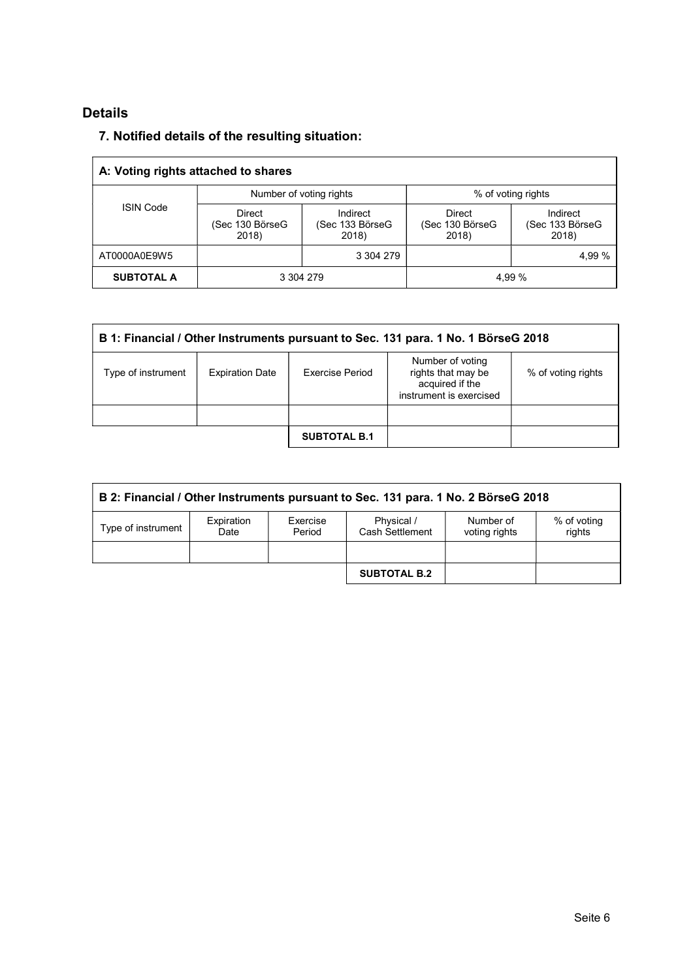# Details

# 7. Notified details of the resulting situation:

|                   | A: Voting rights attached to shares |                                      |                                           |                                      |
|-------------------|-------------------------------------|--------------------------------------|-------------------------------------------|--------------------------------------|
|                   | Number of voting rights             |                                      | % of voting rights                        |                                      |
| <b>ISIN Code</b>  | Direct<br>(Sec 130 BörseG<br>2018)  | Indirect<br>(Sec 133 BörseG<br>2018) | <b>Direct</b><br>(Sec 130 BörseG<br>2018) | Indirect<br>(Sec 133 BörseG<br>2018) |
| AT0000A0E9W5      |                                     | 3 304 279                            |                                           | 4,99 %                               |
| <b>SUBTOTAL A</b> | 3 304 279                           |                                      | 4.99 %                                    |                                      |

|                    | B 1: Financial / Other Instruments pursuant to Sec. 131 para. 1 No. 1 BörseG 2018 |                     |                                                                                      |                    |  |  |  |  |
|--------------------|-----------------------------------------------------------------------------------|---------------------|--------------------------------------------------------------------------------------|--------------------|--|--|--|--|
| Type of instrument | <b>Expiration Date</b>                                                            | Exercise Period     | Number of voting<br>rights that may be<br>acquired if the<br>instrument is exercised | % of voting rights |  |  |  |  |
|                    |                                                                                   |                     |                                                                                      |                    |  |  |  |  |
|                    |                                                                                   | <b>SUBTOTAL B.1</b> |                                                                                      |                    |  |  |  |  |

| B 2: Financial / Other Instruments pursuant to Sec. 131 para. 1 No. 2 BörseG 2018 |                    |                    |                               |                            |                       |  |
|-----------------------------------------------------------------------------------|--------------------|--------------------|-------------------------------|----------------------------|-----------------------|--|
| Type of instrument                                                                | Expiration<br>Date | Exercise<br>Period | Physical /<br>Cash Settlement | Number of<br>voting rights | % of voting<br>rights |  |
|                                                                                   |                    |                    | <b>SUBTOTAL B.2</b>           |                            |                       |  |